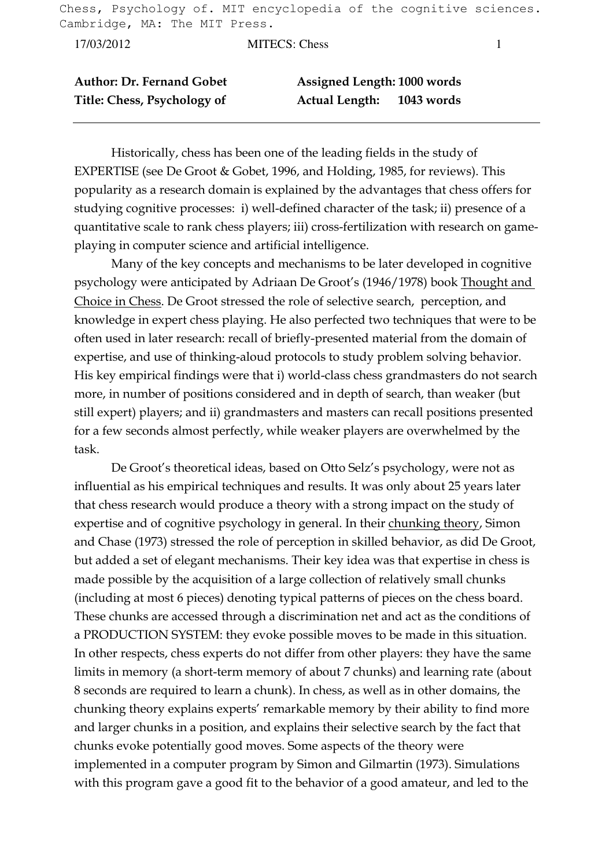Chess, Psychology of. MIT encyclopedia of the cognitive sciences. Cambridge, MA: The MIT Press.

17/03/2012 MITECS: Chess 1

| <b>Author: Dr. Fernand Gobet</b> | Assigned Length: 1000 words |            |
|----------------------------------|-----------------------------|------------|
| Title: Chess, Psychology of      | <b>Actual Length:</b>       | 1043 words |

 Historically, chess has been one of the leading fields in the study of EXPERTISE (see De Groot & Gobet, 1996, and Holding, 1985, for reviews). This popularity as a research domain is explained by the advantages that chess offers for studying cognitive processes: i) well-defined character of the task; ii) presence of a quantitative scale to rank chess players; iii) cross-fertilization with research on gameplaying in computer science and artificial intelligence.

 Many of the key concepts and mechanisms to be later developed in cognitive psychology were anticipated by Adriaan De Groot's (1946/1978) book Thought and Choice in Chess. De Groot stressed the role of selective search, perception, and knowledge in expert chess playing. He also perfected two techniques that were to be often used in later research: recall of briefly-presented material from the domain of expertise, and use of thinking-aloud protocols to study problem solving behavior. His key empirical findings were that i) world-class chess grandmasters do not search more, in number of positions considered and in depth of search, than weaker (but still expert) players; and ii) grandmasters and masters can recall positions presented for a few seconds almost perfectly, while weaker players are overwhelmed by the task.

 De Groot's theoretical ideas, based on Otto Selz's psychology, were not as influential as his empirical techniques and results. It was only about 25 years later that chess research would produce a theory with a strong impact on the study of expertise and of cognitive psychology in general. In their chunking theory, Simon and Chase (1973) stressed the role of perception in skilled behavior, as did De Groot, but added a set of elegant mechanisms. Their key idea was that expertise in chess is made possible by the acquisition of a large collection of relatively small chunks (including at most 6 pieces) denoting typical patterns of pieces on the chess board. These chunks are accessed through a discrimination net and act as the conditions of a PRODUCTION SYSTEM: they evoke possible moves to be made in this situation. In other respects, chess experts do not differ from other players: they have the same limits in memory (a short-term memory of about 7 chunks) and learning rate (about 8 seconds are required to learn a chunk). In chess, as well as in other domains, the chunking theory explains experts' remarkable memory by their ability to find more and larger chunks in a position, and explains their selective search by the fact that chunks evoke potentially good moves. Some aspects of the theory were implemented in a computer program by Simon and Gilmartin (1973). Simulations with this program gave a good fit to the behavior of a good amateur, and led to the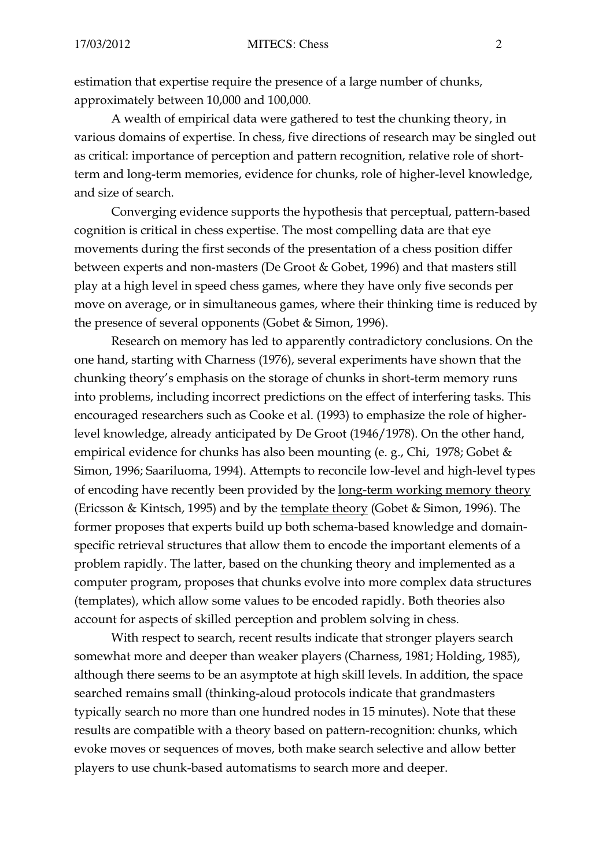estimation that expertise require the presence of a large number of chunks, approximately between 10,000 and 100,000.

 A wealth of empirical data were gathered to test the chunking theory, in various domains of expertise. In chess, five directions of research may be singled out as critical: importance of perception and pattern recognition, relative role of shortterm and long-term memories, evidence for chunks, role of higher-level knowledge, and size of search.

 Converging evidence supports the hypothesis that perceptual, pattern-based cognition is critical in chess expertise. The most compelling data are that eye movements during the first seconds of the presentation of a chess position differ between experts and non-masters (De Groot & Gobet, 1996) and that masters still play at a high level in speed chess games, where they have only five seconds per move on average, or in simultaneous games, where their thinking time is reduced by the presence of several opponents (Gobet & Simon, 1996).

 Research on memory has led to apparently contradictory conclusions. On the one hand, starting with Charness (1976), several experiments have shown that the chunking theory's emphasis on the storage of chunks in short-term memory runs into problems, including incorrect predictions on the effect of interfering tasks. This encouraged researchers such as Cooke et al. (1993) to emphasize the role of higherlevel knowledge, already anticipated by De Groot (1946/1978). On the other hand, empirical evidence for chunks has also been mounting (e. g., Chi, 1978; Gobet & Simon, 1996; Saariluoma, 1994). Attempts to reconcile low-level and high-level types of encoding have recently been provided by the long-term working memory theory (Ericsson & Kintsch, 1995) and by the template theory (Gobet & Simon, 1996). The former proposes that experts build up both schema-based knowledge and domainspecific retrieval structures that allow them to encode the important elements of a problem rapidly. The latter, based on the chunking theory and implemented as a computer program, proposes that chunks evolve into more complex data structures (templates), which allow some values to be encoded rapidly. Both theories also account for aspects of skilled perception and problem solving in chess.

 With respect to search, recent results indicate that stronger players search somewhat more and deeper than weaker players (Charness, 1981; Holding, 1985), although there seems to be an asymptote at high skill levels. In addition, the space searched remains small (thinking-aloud protocols indicate that grandmasters typically search no more than one hundred nodes in 15 minutes). Note that these results are compatible with a theory based on pattern-recognition: chunks, which evoke moves or sequences of moves, both make search selective and allow better players to use chunk-based automatisms to search more and deeper.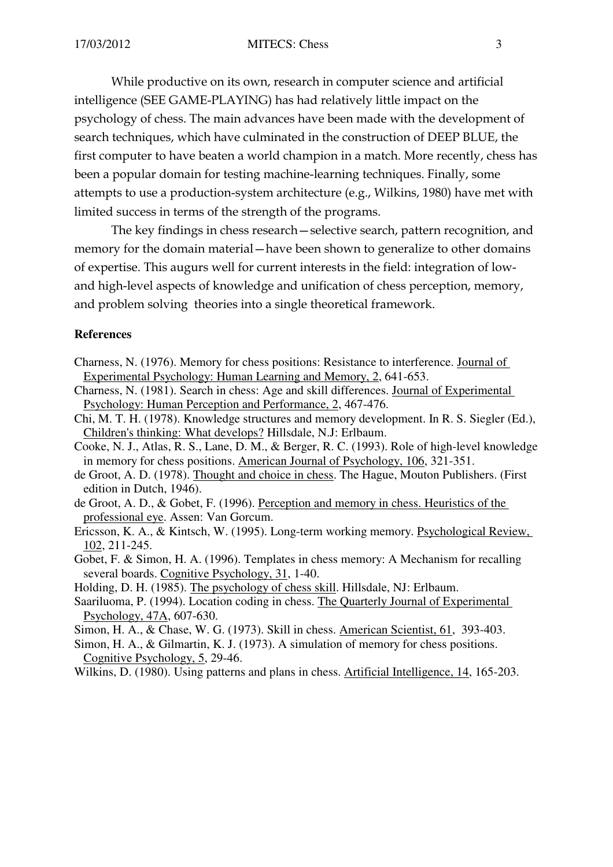While productive on its own, research in computer science and artificial intelligence (SEE GAME-PLAYING) has had relatively little impact on the psychology of chess. The main advances have been made with the development of search techniques, which have culminated in the construction of DEEP BLUE, the first computer to have beaten a world champion in a match. More recently, chess has been a popular domain for testing machine-learning techniques. Finally, some attempts to use a production-system architecture (e.g., Wilkins, 1980) have met with limited success in terms of the strength of the programs.

 The key findings in chess research—selective search, pattern recognition, and memory for the domain material—have been shown to generalize to other domains of expertise. This augurs well for current interests in the field: integration of lowand high-level aspects of knowledge and unification of chess perception, memory, and problem solving theories into a single theoretical framework.

## **References**

- Charness, N. (1976). Memory for chess positions: Resistance to interference. Journal of Experimental Psychology: Human Learning and Memory, 2, 641-653.
- Charness, N. (1981). Search in chess: Age and skill differences. Journal of Experimental Psychology: Human Perception and Performance, 2, 467-476.
- Chi, M. T. H. (1978). Knowledge structures and memory development. In R. S. Siegler (Ed.), Children's thinking: What develops? Hillsdale, N.J: Erlbaum.
- Cooke, N. J., Atlas, R. S., Lane, D. M., & Berger, R. C. (1993). Role of high-level knowledge in memory for chess positions. American Journal of Psychology, 106, 321-351.
- de Groot, A. D. (1978). Thought and choice in chess. The Hague, Mouton Publishers. (First edition in Dutch, 1946).
- de Groot, A. D., & Gobet, F. (1996). Perception and memory in chess. Heuristics of the professional eye. Assen: Van Gorcum.
- Ericsson, K. A., & Kintsch, W. (1995). Long-term working memory. Psychological Review, 102, 211-245.
- Gobet, F. & Simon, H. A. (1996). Templates in chess memory: A Mechanism for recalling several boards. Cognitive Psychology, 31, 1-40.

Holding, D. H. (1985). The psychology of chess skill. Hillsdale, NJ: Erlbaum.

- Saariluoma, P. (1994). Location coding in chess. The Quarterly Journal of Experimental Psychology, 47A, 607-630.
- Simon, H. A., & Chase, W. G. (1973). Skill in chess. American Scientist, 61, 393-403.
- Simon, H. A., & Gilmartin, K. J. (1973). A simulation of memory for chess positions. Cognitive Psychology, 5, 29-46.
- Wilkins, D. (1980). Using patterns and plans in chess. Artificial Intelligence, 14, 165-203.